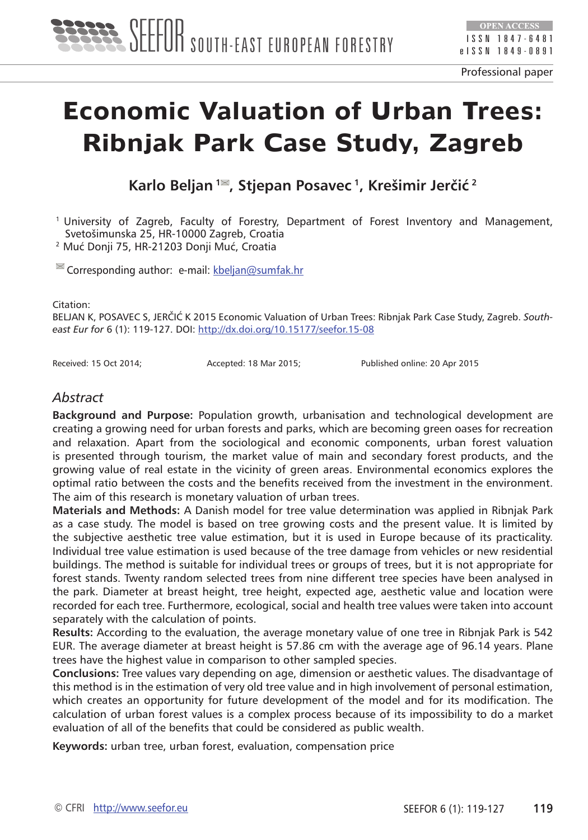

# **Economic Valuation of Urban Trees: Ribnjak Park Case Study, Zagreb**

**Karlo Beljan 1 , Stjepan Posavec 1, Krešimir Jerčić<sup>2</sup>**

1 University of Zagreb, Faculty of Forestry, Department of Forest Inventory and Management, Svetošimunska 25, HR-10000 Zagreb, Croatia

<sup>2</sup> Muć Donji 75, HR-21203 Donji Muć, Croatia

 $\blacksquare$  Corresponding author: e-mail: [kbeljan@sumfak.hr](mailto:kbeljan@sumfak.hr)

Citation:

BELJAN K, POSAVEC S, JERČIĆ K 2015 Economic Valuation of Urban Trees: Ribnjak Park Case Study, Zagreb. *Southeast Eur for* 6 (1): 119-127. DOI: [http://dx.doi.org/10.15177/seefor.15-08](http://dx.doi.org/10.15177/seefor.15-06)

Received: 15 Oct 2014; **Accepted: 18 Mar 2015;** Published online: 20 Apr 2015

# *Abstract*

**Background and Purpose:** Population growth, urbanisation and technological development are creating a growing need for urban forests and parks, which are becoming green oases for recreation and relaxation. Apart from the sociological and economic components, urban forest valuation is presented through tourism, the market value of main and secondary forest products, and the growing value of real estate in the vicinity of green areas. Environmental economics explores the optimal ratio between the costs and the benefits received from the investment in the environment. The aim of this research is monetary valuation of urban trees.

**Materials and Methods:** A Danish model for tree value determination was applied in Ribnjak Park as a case study. The model is based on tree growing costs and the present value. It is limited by the subjective aesthetic tree value estimation, but it is used in Europe because of its practicality. Individual tree value estimation is used because of the tree damage from vehicles or new residential buildings. The method is suitable for individual trees or groups of trees, but it is not appropriate for forest stands. Twenty random selected trees from nine different tree species have been analysed in the park. Diameter at breast height, tree height, expected age, aesthetic value and location were recorded for each tree. Furthermore, ecological, social and health tree values were taken into account separately with the calculation of points.

**Results:** According to the evaluation, the average monetary value of one tree in Ribnjak Park is 542 EUR. The average diameter at breast height is 57.86 cm with the average age of 96.14 years. Plane trees have the highest value in comparison to other sampled species.

**Conclusions:** Tree values vary depending on age, dimension or aesthetic values. The disadvantage of this method is in the estimation of very old tree value and in high involvement of personal estimation, which creates an opportunity for future development of the model and for its modification. The calculation of urban forest values is a complex process because of its impossibility to do a market evaluation of all of the benefits that could be considered as public wealth.

**Keywords:** urban tree, urban forest, evaluation, compensation price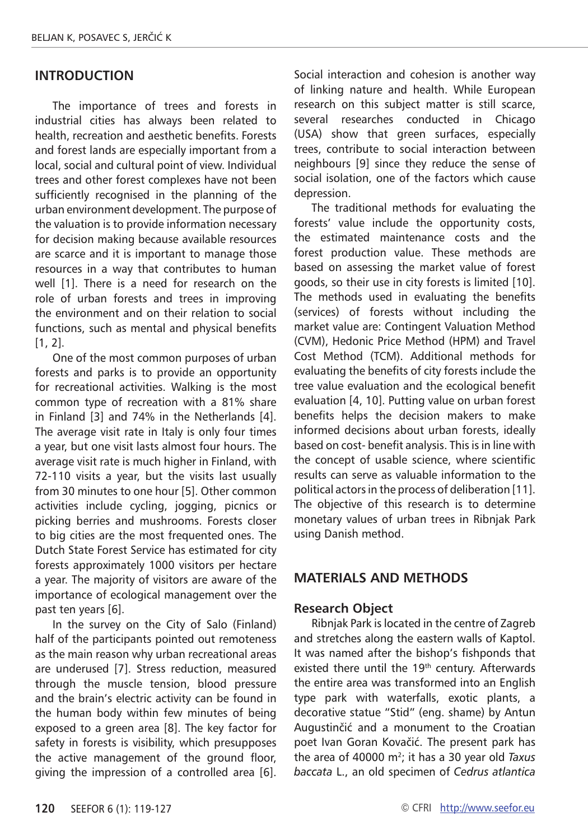### **INTRODUCTION**

The importance of trees and forests in industrial cities has always been related to health, recreation and aesthetic benefits. Forests and forest lands are especially important from a local, social and cultural point of view. Individual trees and other forest complexes have not been sufficiently recognised in the planning of the urban environment development. The purpose of the valuation is to provide information necessary for decision making because available resources are scarce and it is important to manage those resources in a way that contributes to human well [1]. There is a need for research on the role of urban forests and trees in improving the environment and on their relation to social functions, such as mental and physical benefits [1, 2].

One of the most common purposes of urban forests and parks is to provide an opportunity for recreational activities. Walking is the most common type of recreation with a 81% share in Finland [3] and 74% in the Netherlands [4]. The average visit rate in Italy is only four times a year, but one visit lasts almost four hours. The average visit rate is much higher in Finland, with 72-110 visits a year, but the visits last usually from 30 minutes to one hour [5]. Other common activities include cycling, jogging, picnics or picking berries and mushrooms. Forests closer to big cities are the most frequented ones. The Dutch State Forest Service has estimated for city forests approximately 1000 visitors per hectare a year. The majority of visitors are aware of the importance of ecological management over the past ten years [6].

In the survey on the City of Salo (Finland) half of the participants pointed out remoteness as the main reason why urban recreational areas are underused [7]. Stress reduction, measured through the muscle tension, blood pressure and the brain's electric activity can be found in the human body within few minutes of being exposed to a green area [8]. The key factor for safety in forests is visibility, which presupposes the active management of the ground floor, giving the impression of a controlled area [6].

Social interaction and cohesion is another way of linking nature and health. While European research on this subject matter is still scarce, several researches conducted in Chicago (USA) show that green surfaces, especially trees, contribute to social interaction between neighbours [9] since they reduce the sense of social isolation, one of the factors which cause depression.

The traditional methods for evaluating the forests' value include the opportunity costs, the estimated maintenance costs and the forest production value. These methods are based on assessing the market value of forest goods, so their use in city forests is limited [10]. The methods used in evaluating the benefits (services) of forests without including the market value are: Contingent Valuation Method (CVM), Hedonic Price Method (HPM) and Travel Cost Method (TCM). Additional methods for evaluating the benefits of city forests include the tree value evaluation and the ecological benefit evaluation [4, 10]. Putting value on urban forest benefits helps the decision makers to make informed decisions about urban forests, ideally based on cost- benefit analysis. This is in line with the concept of usable science, where scientific results can serve as valuable information to the political actors in the process of deliberation [11]. The objective of this research is to determine monetary values of urban trees in Ribnjak Park using Danish method.

## **MATERIALS AND METHODS**

#### **Research Object**

Ribnjak Park is located in the centre of Zagreb and stretches along the eastern walls of Kaptol. It was named after the bishop's fishponds that existed there until the 19<sup>th</sup> century. Afterwards the entire area was transformed into an English type park with waterfalls, exotic plants, a decorative statue "Stid" (eng. shame) by Antun Augustinčić and a monument to the Croatian poet Ivan Goran Kovačić. The present park has the area of 40000 m2; it has a 30 year old *Taxus baccata* L., an old specimen of *Cedrus atlantica*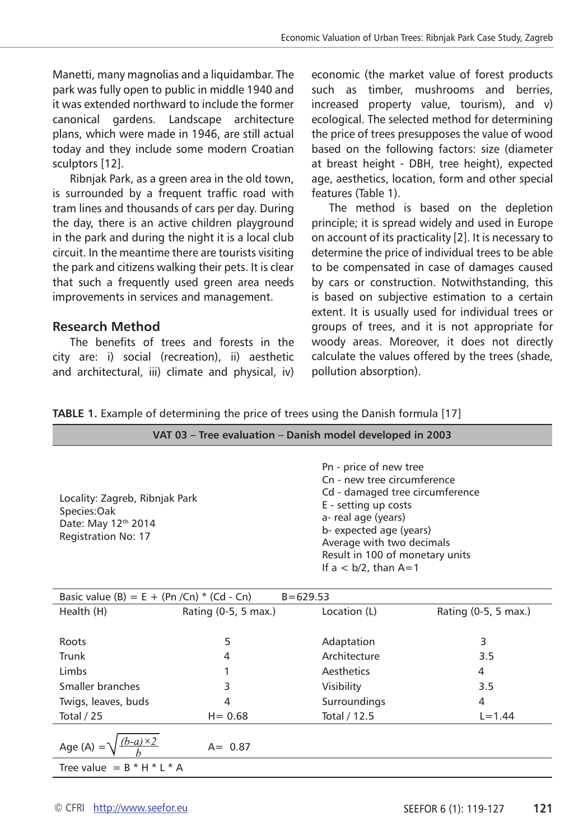Manetti, many magnolias and a liquidambar. The park was fully open to public in middle 1940 and it was extended northward to include the former canonical gardens. Landscape architecture plans, which were made in 1946, are still actual today and they include some modern Croatian sculptors [12].

Ribnjak Park, as a green area in the old town, is surrounded by a frequent traffic road with tram lines and thousands of cars per day. During the day, there is an active children playground in the park and during the night it is a local club circuit. In the meantime there are tourists visiting the park and citizens walking their pets. It is clear that such a frequently used green area needs improvements in services and management.

# **Research Method**

The benefits of trees and forests in the city are: i) social (recreation), ii) aesthetic and architectural, iii) climate and physical, iv) economic (the market value of forest products such as timber, mushrooms and berries, increased property value, tourism), and v) ecological. The selected method for determining the price of trees presupposes the value of wood based on the following factors: size (diameter at breast height - DBH, tree height), expected age, aesthetics, location, form and other special features (Table 1).

The method is based on the depletion principle; it is spread widely and used in Europe on account of its practicality [2]. It is necessary to determine the price of individual trees to be able to be compensated in case of damages caused by cars or construction. Notwithstanding, this is based on subjective estimation to a certain extent. It is usually used for individual trees or groups of trees, and it is not appropriate for woody areas. Moreover, it does not directly calculate the values offered by the trees (shade, pollution absorption).

**TABLE 1.** Example of determining the price of trees using the Danish formula [17]

| VAT 03 - Tree evaluation - Danish model developed in 2003                                                |                      |                                                                                                                                                                                                                                                               |                      |  |  |  |  |  |
|----------------------------------------------------------------------------------------------------------|----------------------|---------------------------------------------------------------------------------------------------------------------------------------------------------------------------------------------------------------------------------------------------------------|----------------------|--|--|--|--|--|
| Locality: Zagreb, Ribnjak Park<br>Species: Oak<br>Date: May 12 <sup>th</sup> 2014<br>Registration No: 17 |                      | Pn - price of new tree<br>Cn - new tree circumference<br>Cd - damaged tree circumference<br>E - setting up costs<br>a- real age (years)<br>b- expected age (years)<br>Average with two decimals<br>Result in 100 of monetary units<br>If $a < b/2$ , than A=1 |                      |  |  |  |  |  |
| Basic value (B) = $E + (Pn /Cn) * (Cd - Cn)$<br>$B = 629.53$                                             |                      |                                                                                                                                                                                                                                                               |                      |  |  |  |  |  |
| Health (H)                                                                                               | Rating (0-5, 5 max.) | Location (L)                                                                                                                                                                                                                                                  | Rating (0-5, 5 max.) |  |  |  |  |  |
| Roots                                                                                                    | 5                    | Adaptation                                                                                                                                                                                                                                                    | 3                    |  |  |  |  |  |
| Trunk                                                                                                    | 4                    | Architecture                                                                                                                                                                                                                                                  | 3.5                  |  |  |  |  |  |
| Limbs                                                                                                    |                      | Aesthetics                                                                                                                                                                                                                                                    | 4                    |  |  |  |  |  |
| Smaller branches                                                                                         | 3                    | Visibility                                                                                                                                                                                                                                                    | 3.5                  |  |  |  |  |  |
| Twigs, leaves, buds                                                                                      | 4                    | Surroundings                                                                                                                                                                                                                                                  | 4                    |  |  |  |  |  |
| Total $/25$                                                                                              | $H = 0.68$           | Total / 12.5                                                                                                                                                                                                                                                  | $L = 1.44$           |  |  |  |  |  |
| $\sigma$ $\sim$                                                                                          |                      |                                                                                                                                                                                                                                                               |                      |  |  |  |  |  |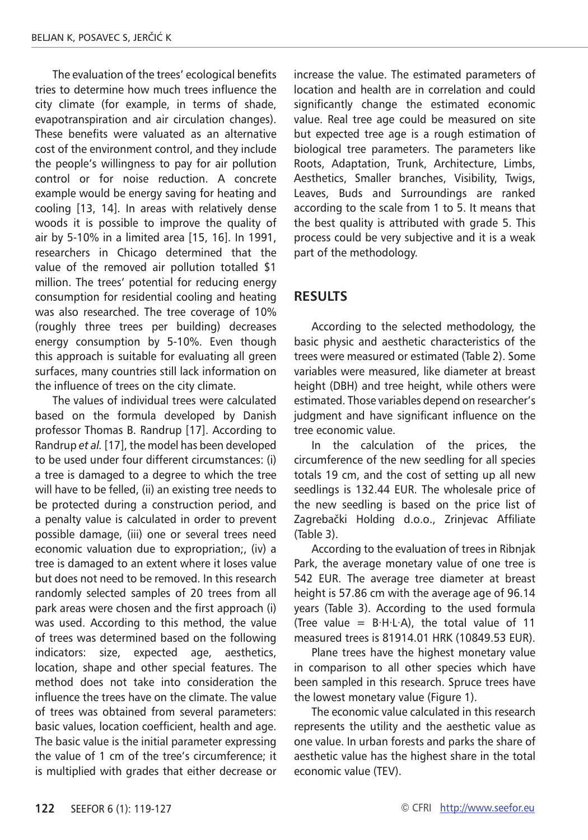The evaluation of the trees' ecological benefits tries to determine how much trees influence the city climate (for example, in terms of shade, evapotranspiration and air circulation changes). These benefits were valuated as an alternative cost of the environment control, and they include the people's willingness to pay for air pollution control or for noise reduction. A concrete example would be energy saving for heating and cooling [13, 14]. In areas with relatively dense woods it is possible to improve the quality of air by 5-10% in a limited area [15, 16]. In 1991, researchers in Chicago determined that the value of the removed air pollution totalled \$1 million. The trees' potential for reducing energy consumption for residential cooling and heating was also researched. The tree coverage of 10% (roughly three trees per building) decreases energy consumption by 5-10%. Even though this approach is suitable for evaluating all green surfaces, many countries still lack information on the influence of trees on the city climate.

The values of individual trees were calculated based on the formula developed by Danish professor Thomas B. Randrup [17]. According to Randrup *et al.* [17], the model has been developed to be used under four different circumstances: (i) a tree is damaged to a degree to which the tree will have to be felled, (ii) an existing tree needs to be protected during a construction period, and a penalty value is calculated in order to prevent possible damage, (iii) one or several trees need economic valuation due to expropriation;, (iv) a tree is damaged to an extent where it loses value but does not need to be removed. In this research randomly selected samples of 20 trees from all park areas were chosen and the first approach (i) was used. According to this method, the value of trees was determined based on the following indicators: size, expected age, aesthetics, location, shape and other special features. The method does not take into consideration the influence the trees have on the climate. The value of trees was obtained from several parameters: basic values, location coefficient, health and age. The basic value is the initial parameter expressing the value of 1 cm of the tree's circumference; it is multiplied with grades that either decrease or

increase the value. The estimated parameters of location and health are in correlation and could significantly change the estimated economic value. Real tree age could be measured on site but expected tree age is a rough estimation of biological tree parameters. The parameters like Roots, Adaptation, Trunk, Architecture, Limbs, Aesthetics, Smaller branches, Visibility, Twigs, Leaves, Buds and Surroundings are ranked according to the scale from 1 to 5. It means that the best quality is attributed with grade 5. This process could be very subjective and it is a weak part of the methodology.

# **RESULTS**

According to the selected methodology, the basic physic and aesthetic characteristics of the trees were measured or estimated (Table 2). Some variables were measured, like diameter at breast height (DBH) and tree height, while others were estimated. Those variables depend on researcher's judgment and have significant influence on the tree economic value.

In the calculation of the prices, the circumference of the new seedling for all species totals 19 cm, and the cost of setting up all new seedlings is 132.44 EUR. The wholesale price of the new seedling is based on the price list of Zagrebački Holding d.o.o., Zrinjevac Affiliate (Table 3).

According to the evaluation of trees in Ribnjak Park, the average monetary value of one tree is 542 EUR. The average tree diameter at breast height is 57.86 cm with the average age of 96.14 years (Table 3). According to the used formula (Tree value = B∙H∙L∙A), the total value of 11 measured trees is 81914.01 HRK (10849.53 EUR).

Plane trees have the highest monetary value in comparison to all other species which have been sampled in this research. Spruce trees have the lowest monetary value (Figure 1).

The economic value calculated in this research represents the utility and the aesthetic value as one value. In urban forests and parks the share of aesthetic value has the highest share in the total economic value (TEV).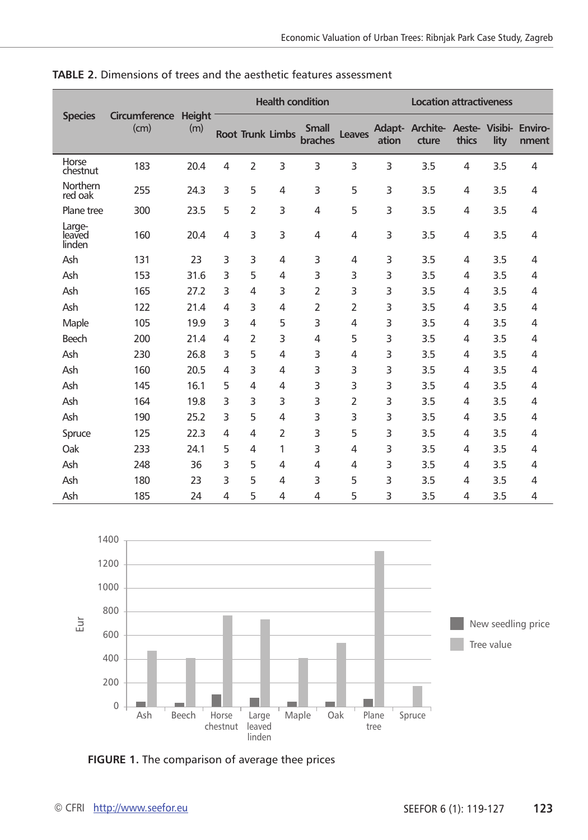|                            | Circumference<br>(cm) | Height<br>(m) | <b>Health condition</b> |                |                         |                                |                | <b>Location attractiveness</b> |                   |                         |      |                  |
|----------------------------|-----------------------|---------------|-------------------------|----------------|-------------------------|--------------------------------|----------------|--------------------------------|-------------------|-------------------------|------|------------------|
| <b>Species</b>             |                       |               |                         |                | <b>Root Trunk Limbs</b> | <b>Small</b><br><b>braches</b> | Leaves         | Adapt-<br>ation                | Archite-<br>cture | Aeste- Visibi-<br>thics | lity | Enviro-<br>nment |
| Horse<br>chestnut          | 183                   | 20.4          | 4                       | $\overline{2}$ | 3                       | 3                              | 3              | $\overline{3}$                 | 3.5               | $\overline{4}$          | 3.5  | $\overline{4}$   |
| Northern<br>red oak        | 255                   | 24.3          | 3                       | 5              | 4                       | 3                              | 5              | 3                              | 3.5               | 4                       | 3.5  | $\overline{4}$   |
| Plane tree                 | 300                   | 23.5          | 5                       | $\overline{2}$ | 3                       | $\overline{4}$                 | 5              | 3                              | 3.5               | $\overline{4}$          | 3.5  | 4                |
| Large-<br>leaved<br>linden | 160                   | 20.4          | 4                       | 3              | 3                       | $\overline{4}$                 | 4              | 3                              | 3.5               | 4                       | 3.5  | 4                |
| Ash                        | 131                   | 23            | 3                       | 3              | 4                       | 3                              | 4              | 3                              | 3.5               | 4                       | 3.5  | $\overline{4}$   |
| Ash                        | 153                   | 31.6          | 3                       | 5              | 4                       | 3                              | 3              | 3                              | 3.5               | $\overline{4}$          | 3.5  | $\overline{4}$   |
| Ash                        | 165                   | 27.2          | 3                       | 4              | 3                       | $\overline{2}$                 | 3              | 3                              | 3.5               | 4                       | 3.5  | 4                |
| Ash                        | 122                   | 21.4          | 4                       | 3              | $\overline{4}$          | 2                              | 2              | 3                              | 3.5               | $\overline{4}$          | 3.5  | $\overline{4}$   |
| Maple                      | 105                   | 19.9          | 3                       | 4              | 5                       | 3                              | $\overline{4}$ | 3                              | 3.5               | $\overline{4}$          | 3.5  | $\overline{4}$   |
| Beech                      | 200                   | 21.4          | 4                       | 2              | 3                       | $\overline{4}$                 | 5              | 3                              | 3.5               | 4                       | 3.5  | 4                |
| Ash                        | 230                   | 26.8          | 3                       | 5              | $\overline{4}$          | 3                              | $\overline{4}$ | 3                              | 3.5               | $\overline{4}$          | 3.5  | $\overline{4}$   |
| Ash                        | 160                   | 20.5          | 4                       | 3              | 4                       | 3                              | 3              | 3                              | 3.5               | $\overline{4}$          | 3.5  | 4                |
| Ash                        | 145                   | 16.1          | 5                       | 4              | 4                       | 3                              | 3              | 3                              | 3.5               | 4                       | 3.5  | 4                |
| Ash                        | 164                   | 19.8          | 3                       | 3              | 3                       | 3                              | 2              | 3                              | 3.5               | 4                       | 3.5  | $\overline{4}$   |
| Ash                        | 190                   | 25.2          | 3                       | 5              | $\overline{4}$          | 3                              | 3              | 3                              | 3.5               | 4                       | 3.5  | 4                |
| Spruce                     | 125                   | 22.3          | 4                       | 4              | 2                       | 3                              | 5              | 3                              | 3.5               | 4                       | 3.5  | $\overline{4}$   |
| Oak                        | 233                   | 24.1          | 5                       | 4              | 1                       | 3                              | $\overline{4}$ | 3                              | 3.5               | 4                       | 3.5  | 4                |
| Ash                        | 248                   | 36            | 3                       | 5              | 4                       | $\overline{4}$                 | $\overline{4}$ | 3                              | 3.5               | 4                       | 3.5  | $\overline{4}$   |
| Ash                        | 180                   | 23            | 3                       | 5              | 4                       | 3                              | 5              | 3                              | 3.5               | 4                       | 3.5  | $\overline{4}$   |
| Ash                        | 185                   | 24            | 4                       | 5              | 4                       | 4                              | 5              | 3                              | 3.5               | 4                       | 3.5  | $\overline{4}$   |

**TABLE 2.** Dimensions of trees and the aesthetic features assessment



**FIGURE 1.** The comparison of average thee prices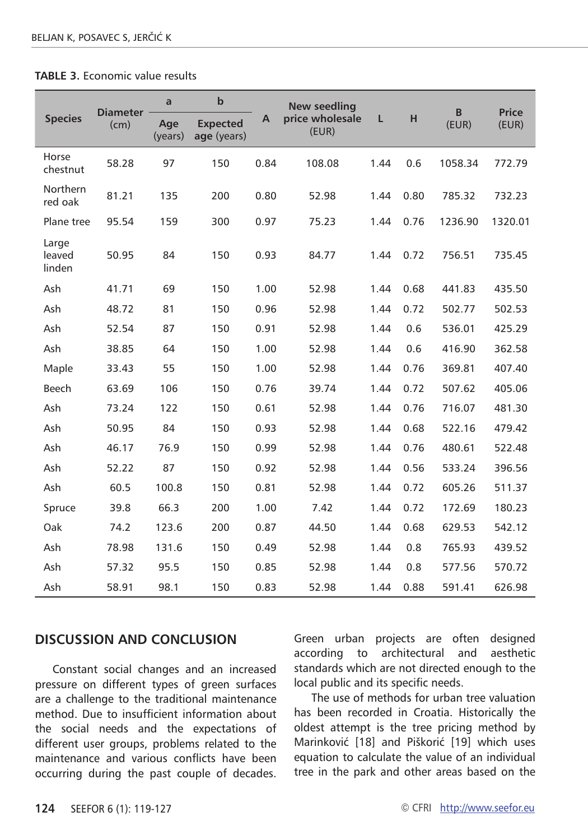|                           | <b>Diameter</b><br>(cm) | a              | $\mathbf b$                    |      | <b>New seedling</b>      | L    | H    | B       | <b>Price</b><br>(EUR) |
|---------------------------|-------------------------|----------------|--------------------------------|------|--------------------------|------|------|---------|-----------------------|
| <b>Species</b>            |                         | Age<br>(years) | <b>Expected</b><br>age (years) | A    | price wholesale<br>(EUR) |      |      | (EUR)   |                       |
| Horse<br>chestnut         | 58.28                   | 97             | 150                            | 0.84 | 108.08                   | 1.44 | 0.6  | 1058.34 | 772.79                |
| Northern<br>red oak       | 81.21                   | 135            | 200                            | 0.80 | 52.98                    | 1.44 | 0.80 | 785.32  | 732.23                |
| Plane tree                | 95.54                   | 159            | 300                            | 0.97 | 75.23                    | 1.44 | 0.76 | 1236.90 | 1320.01               |
| Large<br>leaved<br>linden | 50.95                   | 84             | 150                            | 0.93 | 84.77                    | 1.44 | 0.72 | 756.51  | 735.45                |
| Ash                       | 41.71                   | 69             | 150                            | 1.00 | 52.98                    | 1.44 | 0.68 | 441.83  | 435.50                |
| Ash                       | 48.72                   | 81             | 150                            | 0.96 | 52.98                    | 1.44 | 0.72 | 502.77  | 502.53                |
| Ash                       | 52.54                   | 87             | 150                            | 0.91 | 52.98                    | 1.44 | 0.6  | 536.01  | 425.29                |
| Ash                       | 38.85                   | 64             | 150                            | 1.00 | 52.98                    | 1.44 | 0.6  | 416.90  | 362.58                |
| Maple                     | 33.43                   | 55             | 150                            | 1.00 | 52.98                    | 1.44 | 0.76 | 369.81  | 407.40                |
| Beech                     | 63.69                   | 106            | 150                            | 0.76 | 39.74                    | 1.44 | 0.72 | 507.62  | 405.06                |
| Ash                       | 73.24                   | 122            | 150                            | 0.61 | 52.98                    | 1.44 | 0.76 | 716.07  | 481.30                |
| Ash                       | 50.95                   | 84             | 150                            | 0.93 | 52.98                    | 1.44 | 0.68 | 522.16  | 479.42                |
| Ash                       | 46.17                   | 76.9           | 150                            | 0.99 | 52.98                    | 1.44 | 0.76 | 480.61  | 522.48                |
| Ash                       | 52.22                   | 87             | 150                            | 0.92 | 52.98                    | 1.44 | 0.56 | 533.24  | 396.56                |
| Ash                       | 60.5                    | 100.8          | 150                            | 0.81 | 52.98                    | 1.44 | 0.72 | 605.26  | 511.37                |
| Spruce                    | 39.8                    | 66.3           | 200                            | 1.00 | 7.42                     | 1.44 | 0.72 | 172.69  | 180.23                |
| Oak                       | 74.2                    | 123.6          | 200                            | 0.87 | 44.50                    | 1.44 | 0.68 | 629.53  | 542.12                |
| Ash                       | 78.98                   | 131.6          | 150                            | 0.49 | 52.98                    | 1.44 | 0.8  | 765.93  | 439.52                |
| Ash                       | 57.32                   | 95.5           | 150                            | 0.85 | 52.98                    | 1.44 | 0.8  | 577.56  | 570.72                |
| Ash                       | 58.91                   | 98.1           | 150                            | 0.83 | 52.98                    | 1.44 | 0.88 | 591.41  | 626.98                |

## **DISCUSSION AND CONCLUSION**

Constant social changes and an increased pressure on different types of green surfaces are a challenge to the traditional maintenance method. Due to insufficient information about the social needs and the expectations of different user groups, problems related to the maintenance and various conflicts have been occurring during the past couple of decades.

Green urban projects are often designed according to architectural and aesthetic standards which are not directed enough to the local public and its specific needs.

The use of methods for urban tree valuation has been recorded in Croatia. Historically the oldest attempt is the tree pricing method by Marinković [18] and Piškorić [19] which uses equation to calculate the value of an individual tree in the park and other areas based on the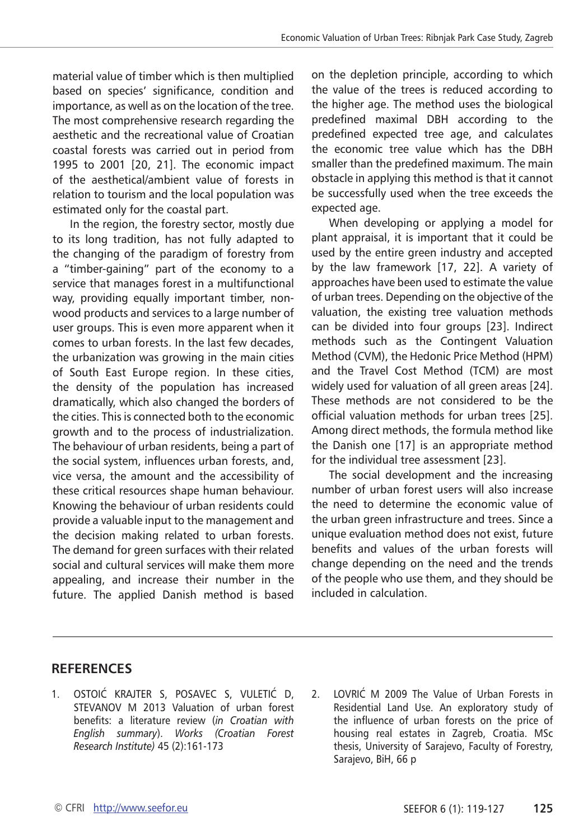material value of timber which is then multiplied based on species' significance, condition and importance, as well as on the location of the tree. The most comprehensive research regarding the aesthetic and the recreational value of Croatian coastal forests was carried out in period from 1995 to 2001 [20, 21]. The economic impact of the aesthetical/ambient value of forests in relation to tourism and the local population was estimated only for the coastal part.

In the region, the forestry sector, mostly due to its long tradition, has not fully adapted to the changing of the paradigm of forestry from a "timber-gaining" part of the economy to a service that manages forest in a multifunctional way, providing equally important timber, nonwood products and services to a large number of user groups. This is even more apparent when it comes to urban forests. In the last few decades, the urbanization was growing in the main cities of South East Europe region. In these cities, the density of the population has increased dramatically, which also changed the borders of the cities. This is connected both to the economic growth and to the process of industrialization. The behaviour of urban residents, being a part of the social system, influences urban forests, and, vice versa, the amount and the accessibility of these critical resources shape human behaviour. Knowing the behaviour of urban residents could provide a valuable input to the management and the decision making related to urban forests. The demand for green surfaces with their related social and cultural services will make them more appealing, and increase their number in the future. The applied Danish method is based

on the depletion principle, according to which the value of the trees is reduced according to the higher age. The method uses the biological predefined maximal DBH according to the predefined expected tree age, and calculates the economic tree value which has the DBH smaller than the predefined maximum. The main obstacle in applying this method is that it cannot be successfully used when the tree exceeds the expected age.

When developing or applying a model for plant appraisal, it is important that it could be used by the entire green industry and accepted by the law framework [17, 22]. A variety of approaches have been used to estimate the value of urban trees. Depending on the objective of the valuation, the existing tree valuation methods can be divided into four groups [23]. Indirect methods such as the Contingent Valuation Method (CVM), the Hedonic Price Method (HPM) and the Travel Cost Method (TCM) are most widely used for valuation of all green areas [24]. These methods are not considered to be the official valuation methods for urban trees [25]. Among direct methods, the formula method like the Danish one [17] is an appropriate method for the individual tree assessment [23].

The social development and the increasing number of urban forest users will also increase the need to determine the economic value of the urban green infrastructure and trees. Since a unique evaluation method does not exist, future benefits and values of the urban forests will change depending on the need and the trends of the people who use them, and they should be included in calculation.

# **RefereNces**

- 1. [OSTOIĆ KRAJTER S,](http://www.cabdirect.org:80/search.html?q=au%3A%22Ostoic%C2%B4%2C+S.+K.%22) [POSAVEC S,](http://www.cabdirect.org:80/search.html?q=au%3A%22Posavec%2C+S.%22) [VULETIĆ D,](http://www.cabdirect.org:80/search.html?q=au%3A%22Vuletic%C2%B4%2C+D.%22) [STEVANOV M](http://www.cabdirect.org:80/search.html?q=au%3A%22Stevanov%2C+M.%22) [2013 Valuation of urban forest](http://www.cabdirect.org:80/search.html?q=do%3A%22Radovi+-+%C5%A0umarski+Institut+Jastrebarsko%22) [benefits: a literature review \(](http://www.cabdirect.org:80/search.html?q=do%3A%22Radovi+-+%C5%A0umarski+Institut+Jastrebarsko%22)*in Croatian with English summary*). *[Works \(Croatian Forest](http://www.cabdirect.org:80/search.html?q=do%3A%22Radovi+-+%C5%A0umarski+Institut+Jastrebarsko%22) [Research Institute\)](http://www.cabdirect.org:80/search.html?q=do%3A%22Radovi+-+%C5%A0umarski+Institut+Jastrebarsko%22)* 45 (2):161-173
- 2. LOVRIĆ M 2009 The Value of Urban Forests in Residential Land Use. An exploratory study of the influence of urban forests on the price of housing real estates in Zagreb, Croatia. MSc thesis, University of Sarajevo, Faculty of Forestry, Sarajevo, BiH, 66 p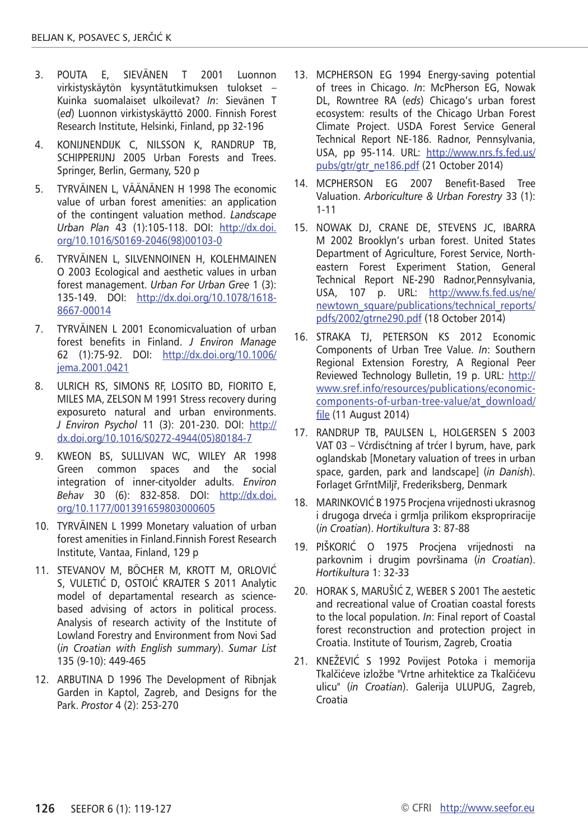- 3. POUTA E, SIEVÄNEN T 2001 Luonnon virkistyskäytön kysyntätutkimuksen tulokset – Kuinka suomalaiset ulkoilevat? *In*: Sievänen T (*ed*) Luonnon virkistyskäyttö 2000. Finnish Forest Research Institute, Helsinki, Finland, pp 32-196
- 4. KONIJNENDIJK C, NILSSON K, RANDRUP TB, SCHIPPERIJNJ 2005 Urban Forests and Trees. Springer, Berlin, Germany, 520 p
- 5. TYRVÄINEN L, VÄÄNÄNEN H 1998 The economic value of urban forest amenities: an application of the contingent valuation method. *Landscape Urban Plan* 43 (1):105-118. DOI: [http://dx.doi.](http://dx.doi.org/10.1016/S0169-2046(98)00103-0) [org/10.1016/S0169-2046\(98\)00103-0](http://dx.doi.org/10.1016/S0169-2046(98)00103-0)
- 6. TYRVÄINEN L, SILVENNOINEN H, KOLEHMAINEN O 2003 Ecological and aesthetic values in urban forest management. *Urban For Urban Gree* 1 (3): 135-149. DOI: [http://dx.doi.org/10.1078/1618-](http://dx.doi.org/10.1078/1618-8667-00014) [8667-00014](http://dx.doi.org/10.1078/1618-8667-00014)
- 7. TYRVÄINEN L 2001 Economicvaluation of urban forest benefits in Finland. *J Environ Manage* 62 (1):75-92. DOI: [http://dx.doi.org/10.1006/](http://dx.doi.org/10.1006/jema.2001.0421) [jema.2001.0421](http://dx.doi.org/10.1006/jema.2001.0421)
- 8. ULRICH RS, SIMONS RF, LOSITO BD, FIORITO E, MILES MA, ZELSON M 1991 Stress recovery during exposureto natural and urban environments. *J Environ Psychol* 11 (3): 201-230. DOI: [http://](http://dx.doi.org/10.1016/S0272-4944(05)80184-7) [dx.doi.org/10.1016/S0272-4944\(05\)80184-7](http://dx.doi.org/10.1016/S0272-4944(05)80184-7)
- 9. KWEON BS, SULLIVAN WC, WILEY AR 1998 Green common spaces and the social integration of inner-cityolder adults. *Environ Behav* 30 (6): 832-858. DOI: [http://dx.doi.](http://dx.doi.org/10.1177/001391659803000605) [org/10.1177/001391659803000605](http://dx.doi.org/10.1177/001391659803000605)
- 10. TYRVÄINEN L 1999 Monetary valuation of urban forest amenities in Finland.Finnish Forest Research Institute, Vantaa, Finland, 129 p
- 11. STEVANOV M, BÖCHER M, KROTT M, ORLOVIĆ S, VULETIĆ D, OSTOIĆ KRAJTER S 2011 Analytic model of departamental research as sciencebased advising of actors in political process. Analysis of research activity of the Institute of Lowland Forestry and Environment from Novi Sad (*in Croatian with English summary*). *Sumar List* 135 (9-10): 449-465
- 12. ARBUTINA D 1996 The Development of Ribnjak Garden in Kaptol, Zagreb, and Designs for the Park. *Prostor* 4 (2): 253-270
- 13. MCPHERSON EG 1994 Energy-saving potential of trees in Chicago. *In*: McPherson EG, Nowak DL, Rowntree RA (*eds*) Chicago's urban forest ecosystem: results of the Chicago Urban Forest Climate Project. USDA Forest Service General Technical Report NE-186. Radnor, Pennsylvania, USA, pp 95-114. URL: [http://www.nrs.fs.fed.us/](http://www.nrs.fs.fed.us/pubs/gtr/gtr_ne186.pdf) [pubs/gtr/gtr\\_ne186.pdf](http://www.nrs.fs.fed.us/pubs/gtr/gtr_ne186.pdf) (21 October 2014)
- 14. MCPHERSON EG 2007 Benefit-Based Tree Valuation. *Arboriculture & Urban Forestry* 33 (1): 1-11
- 15. NOWAK DJ, CRANE DE, STEVENS JC, IBARRA M 2002 Brooklyn's urban forest. United States Department of Agriculture, Forest Service, Northeastern Forest Experiment Station, General Technical Report NE-290 Radnor,Pennsylvania, USA, 107 p. URL: [http://www.fs.fed.us/ne/](http://www.fs.fed.us/ne/newtown_square/publications/technical_reports/pdfs/2002/gtrne290.pdf) [newtown\\_square/publications/technical\\_reports/](http://www.fs.fed.us/ne/newtown_square/publications/technical_reports/pdfs/2002/gtrne290.pdf) [pdfs/2002/gtrne290.pdf](http://www.fs.fed.us/ne/newtown_square/publications/technical_reports/pdfs/2002/gtrne290.pdf) (18 October 2014)
- 16. STRAKA TJ, PETERSON KS 2012 Economic Components of Urban Tree Value. *In*: Southern Regional Extension Forestry, A Regional Peer Reviewed Technology Bulletin, 19 p. URL: [http://](http://www.sref.info/resources/publications/economic-components-of-urban-tree-value/at_download/file) [www.sref.info/resources/publications/economic](http://www.sref.info/resources/publications/economic-components-of-urban-tree-value/at_download/file)[components-of-urban-tree-value/at\\_download/](http://www.sref.info/resources/publications/economic-components-of-urban-tree-value/at_download/file) [file](http://www.sref.info/resources/publications/economic-components-of-urban-tree-value/at_download/file) (11 August 2014)
- 17. RANDRUP TB, PAULSEN L, HOLGERSEN S 2003 VAT 03 – Vćrdisćtning af trćer I byrum, have, park oglandskab [Monetary valuation of trees in urban space, garden, park and landscape] (*in Danish*). Forlaget GrřntMiljř, Frederiksberg, Denmark
- 18. MARINKOVIĆ B 1975 Procjena vrijednosti ukrasnog i drugoga drveća i grmlja prilikom ekspropriracije (*in Croatian*). *Hortikultura* 3: 87-88
- 19. PIŠKORIĆ O 1975 Procjena vrijednosti na parkovnim i drugim površinama (*in Croatian*). *Hortikultura* 1: 32-33
- 20. HORAK S, MARUŠIĆ Z, WEBER S 2001 The aestetic and recreational value of Croatian coastal forests to the local population. *In*: Final report of Coastal forest reconstruction and protection project in Croatia. Institute of Tourism, Zagreb, Croatia
- 21. KNEŽEVIĆ S 1992 Povijest Potoka i memorija Tkalčićeve izložbe "Vrtne arhitektice za Tkalčićevu ulicu" (*in Croatian*). Galerija ULUPUG, Zagreb, Croatia